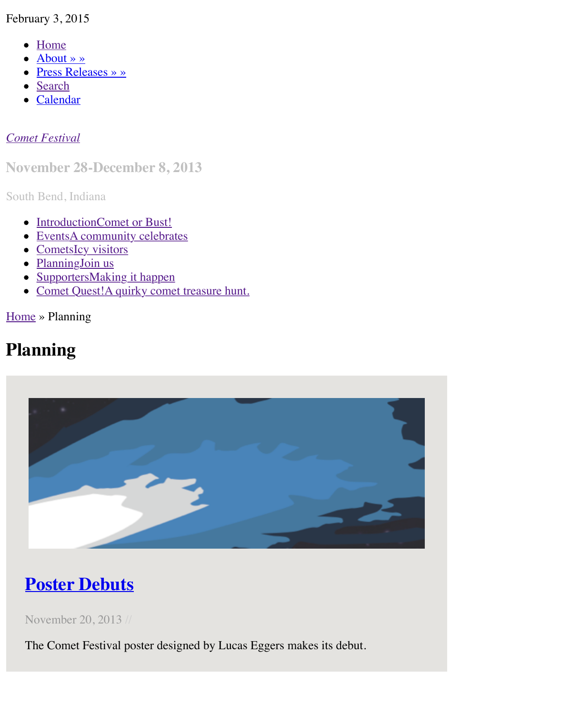#### *Comet Festival*

#### **Nov[ember 28](http://www.cometfestival.com/index.php/about/)-December 8, 2013**

South [Bend, I](http://www.cometfestival.com/index.php/search/)ndiana

- [Introduct](http://www.cometfestival.com/index.php/calendar/)ionComet or Bust!
- EventsA community celebrates
- [CometsIc](http://www.cometfestival.com/)y visitors
- PlanningJoin us
- SupportersMaking it happen
- Comet Quest!A quirky comet treasure hunt.

Home » Planning

## **Pla[nning](http://www.cometfestival.com/index.php/events/)**



# **Poster Debuts**

November 20, 2013 //

[The Comet Festival poster designed by Lucas Eggers makes its debut.](http://www.cometfestival.com/index.php/planning/poster-debuts/)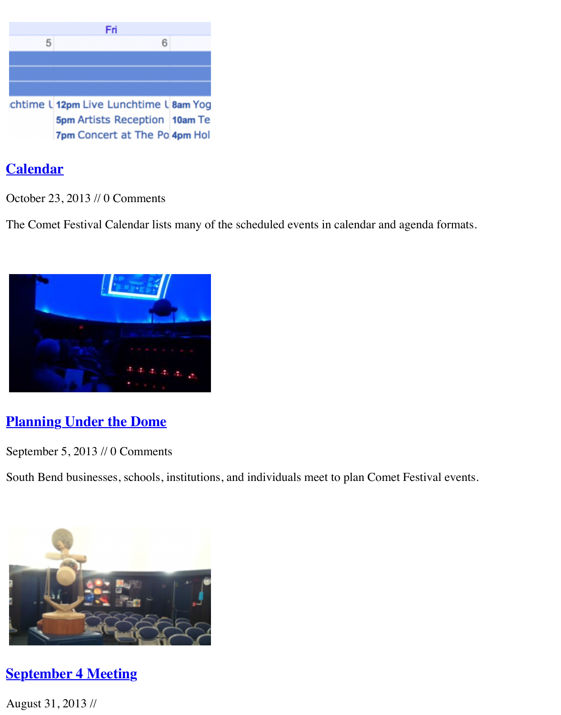5pm Artists Reception 10am Te 7pm Concert at The Po 4pm Hol

### **Calendar**

October 23, 2013 // 0 Comments

[The Comet Festival Calendar lists many of](http://www.cometfestival.com/index.php/planning/calendar/) the scheduled events in calendar and agenda forma



### **Planning Under the Dome**

September 5, 2013 // 0 Comments

[South Bend businesses, schools, institution](http://www.cometfestival.com/index.php/planning/under-dome/)s, and individuals meet to plan Comet Festival ever

![](_page_1_Picture_8.jpeg)

#### **[September 4 Meeting](http://www.cometfestival.com/index.php/planning/september-4-meeting/)**

August 31, 2013 //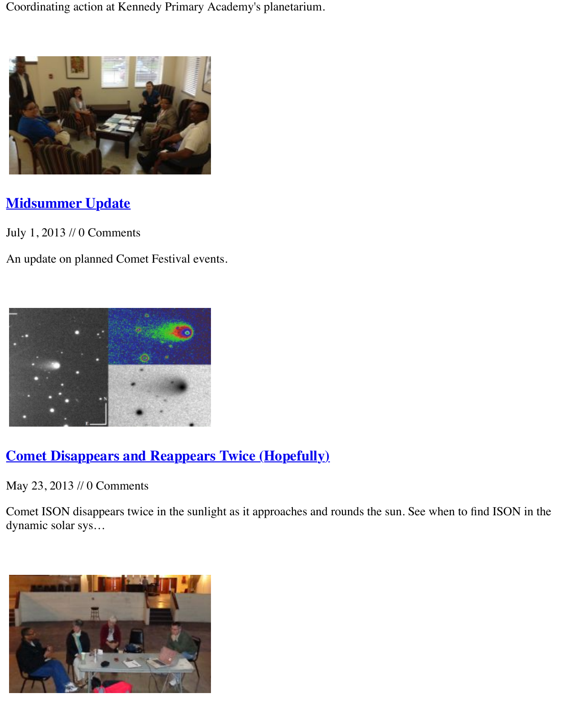![](_page_2_Picture_0.jpeg)

### **Midsummer Update**

July 1, 2013 // 0 Comments

[An update on planned Comet Festival even](http://www.cometfestival.com/index.php/planning/midsummer-update/)ts.

![](_page_2_Picture_4.jpeg)

#### **[Comet Disappears and Reappears](http://www.cometfestival.com/index.php/planning/comet-disappears/) Twice (Hopefully)**

May 23, 2013 // 0 Comments

Comet ISON disappears twice in the sunlight as it approaches and rounds the sun. See when to dynamic solar sys…

![](_page_2_Picture_8.jpeg)